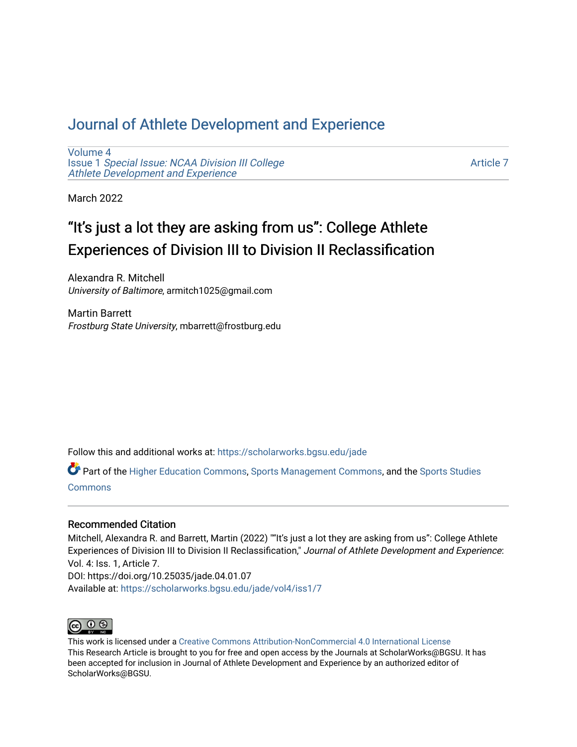## [Journal of Athlete Development and Experience](https://scholarworks.bgsu.edu/jade)

[Volume 4](https://scholarworks.bgsu.edu/jade/vol4) Issue 1 [Special Issue: NCAA Division III College](https://scholarworks.bgsu.edu/jade/vol4/iss1) [Athlete Development and Experience](https://scholarworks.bgsu.edu/jade/vol4/iss1) 

[Article 7](https://scholarworks.bgsu.edu/jade/vol4/iss1/7) 

March 2022

# "It's just a lot they are asking from us": College Athlete Experiences of Division III to Division II Reclassification

Alexandra R. Mitchell University of Baltimore, armitch1025@gmail.com

Martin Barrett Frostburg State University, mbarrett@frostburg.edu

Follow this and additional works at: [https://scholarworks.bgsu.edu/jade](https://scholarworks.bgsu.edu/jade?utm_source=scholarworks.bgsu.edu%2Fjade%2Fvol4%2Fiss1%2F7&utm_medium=PDF&utm_campaign=PDFCoverPages) 

Part of the [Higher Education Commons,](http://network.bepress.com/hgg/discipline/1245?utm_source=scholarworks.bgsu.edu%2Fjade%2Fvol4%2Fiss1%2F7&utm_medium=PDF&utm_campaign=PDFCoverPages) [Sports Management Commons,](http://network.bepress.com/hgg/discipline/1193?utm_source=scholarworks.bgsu.edu%2Fjade%2Fvol4%2Fiss1%2F7&utm_medium=PDF&utm_campaign=PDFCoverPages) and the [Sports Studies](http://network.bepress.com/hgg/discipline/1198?utm_source=scholarworks.bgsu.edu%2Fjade%2Fvol4%2Fiss1%2F7&utm_medium=PDF&utm_campaign=PDFCoverPages)  **[Commons](http://network.bepress.com/hgg/discipline/1198?utm_source=scholarworks.bgsu.edu%2Fjade%2Fvol4%2Fiss1%2F7&utm_medium=PDF&utm_campaign=PDFCoverPages)** 

### Recommended Citation

Mitchell, Alexandra R. and Barrett, Martin (2022) ""It's just a lot they are asking from us": College Athlete Experiences of Division III to Division II Reclassification," Journal of Athlete Development and Experience: Vol. 4: Iss. 1, Article 7. DOI: https://doi.org/10.25035/jade.04.01.07 Available at: [https://scholarworks.bgsu.edu/jade/vol4/iss1/7](https://scholarworks.bgsu.edu/jade/vol4/iss1/7?utm_source=scholarworks.bgsu.edu%2Fjade%2Fvol4%2Fiss1%2F7&utm_medium=PDF&utm_campaign=PDFCoverPages) 



This work is licensed under a [Creative Commons Attribution-NonCommercial 4.0 International License](https://creativecommons.org/licenses/by-nc/4.0/) This Research Article is brought to you for free and open access by the Journals at ScholarWorks@BGSU. It has been accepted for inclusion in Journal of Athlete Development and Experience by an authorized editor of ScholarWorks@BGSU.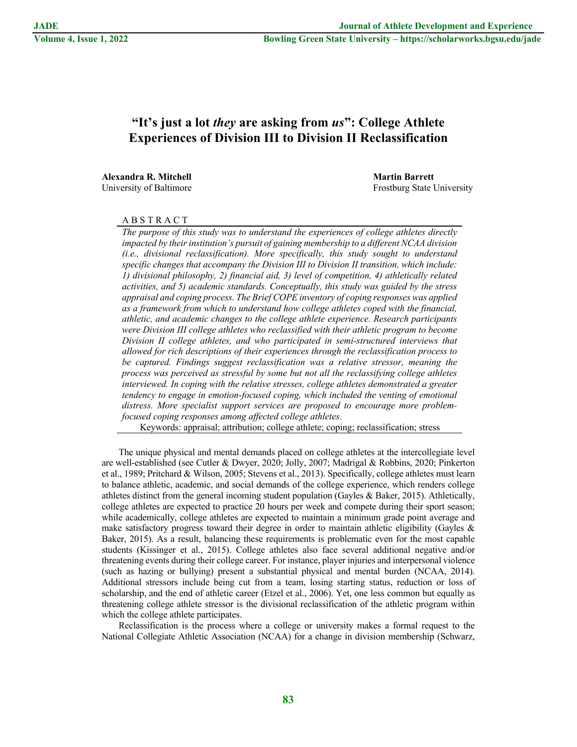## **"It's just a lot** *they* **are asking from** *us***": College Athlete Experiences of Division III to Division II Reclassification**

**Alexandra R. Mitchell Martin Barrett**

University of Baltimore **Frost** Executive State University of Baltimore **Frost** Executive State University

#### A B S T R A C T

*The purpose of this study was to understand the experiences of college athletes directly impacted by their institution's pursuit of gaining membership to a different NCAA division (i.e., divisional reclassification). More specifically, this study sought to understand specific changes that accompany the Division III to Division II transition, which include: 1) divisional philosophy, 2) financial aid, 3) level of competition, 4) athletically related activities, and 5) academic standards. Conceptually, this study was guided by the stress appraisal and coping process. The Brief COPE inventory of coping responses was applied as a framework from which to understand how college athletes coped with the financial, athletic, and academic changes to the college athlete experience. Research participants were Division III college athletes who reclassified with their athletic program to become Division II college athletes, and who participated in semi-structured interviews that allowed for rich descriptions of their experiences through the reclassification process to be captured. Findings suggest reclassification was a relative stressor, meaning the process was perceived as stressful by some but not all the reclassifying college athletes interviewed. In coping with the relative stresses, college athletes demonstrated a greater tendency to engage in emotion-focused coping, which included the venting of emotional distress. More specialist support services are proposed to encourage more problemfocused coping responses among affected college athletes.*

Keywords: appraisal; attribution; college athlete; coping; reclassification; stress

The unique physical and mental demands placed on college athletes at the intercollegiate level are well-established (see Cutler & Dwyer, 2020; Jolly, 2007; Madrigal & Robbins, 2020; Pinkerton et al., 1989; Pritchard & Wilson, 2005; Stevens et al., 2013). Specifically, college athletes must learn to balance athletic, academic, and social demands of the college experience, which renders college athletes distinct from the general incoming student population (Gayles & Baker, 2015). Athletically, college athletes are expected to practice 20 hours per week and compete during their sport season; while academically, college athletes are expected to maintain a minimum grade point average and make satisfactory progress toward their degree in order to maintain athletic eligibility (Gayles  $\&$ Baker, 2015). As a result, balancing these requirements is problematic even for the most capable students (Kissinger et al., 2015). College athletes also face several additional negative and/or threatening events during their college career. For instance, player injuries and interpersonal violence (such as hazing or bullying) present a substantial physical and mental burden (NCAA, 2014). Additional stressors include being cut from a team, losing starting status, reduction or loss of scholarship, and the end of athletic career (Etzel et al., 2006). Yet, one less common but equally as threatening college athlete stressor is the divisional reclassification of the athletic program within which the college athlete participates.

Reclassification is the process where a college or university makes a formal request to the National Collegiate Athletic Association (NCAA) for a change in division membership (Schwarz,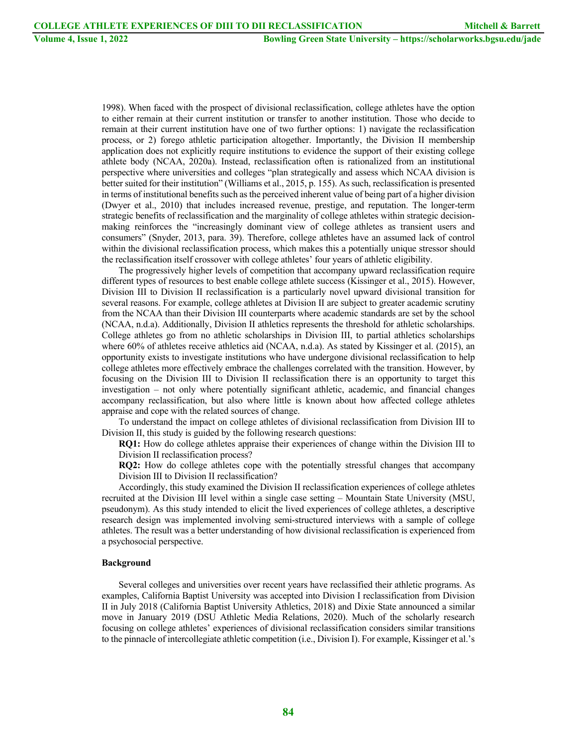1998). When faced with the prospect of divisional reclassification, college athletes have the option to either remain at their current institution or transfer to another institution. Those who decide to remain at their current institution have one of two further options: 1) navigate the reclassification process, or 2) forego athletic participation altogether. Importantly, the Division II membership application does not explicitly require institutions to evidence the support of their existing college athlete body (NCAA, 2020a). Instead, reclassification often is rationalized from an institutional perspective where universities and colleges "plan strategically and assess which NCAA division is better suited for their institution" (Williams et al., 2015, p. 155). As such, reclassification is presented in terms of institutional benefits such as the perceived inherent value of being part of a higher division (Dwyer et al., 2010) that includes increased revenue, prestige, and reputation. The longer-term strategic benefits of reclassification and the marginality of college athletes within strategic decisionmaking reinforces the "increasingly dominant view of college athletes as transient users and consumers" (Snyder, 2013, para. 39). Therefore, college athletes have an assumed lack of control within the divisional reclassification process, which makes this a potentially unique stressor should the reclassification itself crossover with college athletes' four years of athletic eligibility.

The progressively higher levels of competition that accompany upward reclassification require different types of resources to best enable college athlete success (Kissinger et al., 2015). However, Division III to Division II reclassification is a particularly novel upward divisional transition for several reasons. For example, college athletes at Division II are subject to greater academic scrutiny from the NCAA than their Division III counterparts where academic standards are set by the school (NCAA, n.d.a). Additionally, Division II athletics represents the threshold for athletic scholarships. College athletes go from no athletic scholarships in Division III, to partial athletics scholarships where 60% of athletes receive athletics aid (NCAA, n.d.a). As stated by Kissinger et al. (2015), an opportunity exists to investigate institutions who have undergone divisional reclassification to help college athletes more effectively embrace the challenges correlated with the transition. However, by focusing on the Division III to Division II reclassification there is an opportunity to target this investigation – not only where potentially significant athletic, academic, and financial changes accompany reclassification, but also where little is known about how affected college athletes appraise and cope with the related sources of change.

To understand the impact on college athletes of divisional reclassification from Division III to Division II, this study is guided by the following research questions:

**RQ1:** How do college athletes appraise their experiences of change within the Division III to Division II reclassification process?

**RQ2:** How do college athletes cope with the potentially stressful changes that accompany Division III to Division II reclassification?

Accordingly, this study examined the Division II reclassification experiences of college athletes recruited at the Division III level within a single case setting – Mountain State University (MSU, pseudonym). As this study intended to elicit the lived experiences of college athletes, a descriptive research design was implemented involving semi-structured interviews with a sample of college athletes. The result was a better understanding of how divisional reclassification is experienced from a psychosocial perspective.

#### **Background**

Several colleges and universities over recent years have reclassified their athletic programs. As examples, California Baptist University was accepted into Division I reclassification from Division II in July 2018 (California Baptist University Athletics, 2018) and Dixie State announced a similar move in January 2019 (DSU Athletic Media Relations, 2020). Much of the scholarly research focusing on college athletes' experiences of divisional reclassification considers similar transitions to the pinnacle of intercollegiate athletic competition (i.e., Division I). For example, Kissinger et al.'s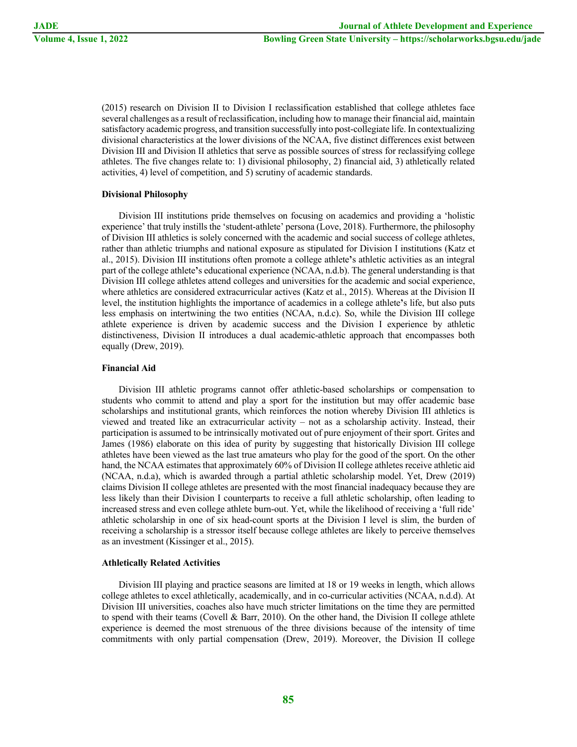(2015) research on Division II to Division I reclassification established that college athletes face several challenges as a result of reclassification, including how to manage their financial aid, maintain satisfactory academic progress, and transition successfully into post-collegiate life. In contextualizing divisional characteristics at the lower divisions of the NCAA, five distinct differences exist between Division III and Division II athletics that serve as possible sources of stress for reclassifying college athletes. The five changes relate to: 1) divisional philosophy, 2) financial aid, 3) athletically related activities, 4) level of competition, and 5) scrutiny of academic standards.

#### **Divisional Philosophy**

Division III institutions pride themselves on focusing on academics and providing a 'holistic experience' that truly instills the 'student-athlete' persona (Love, 2018). Furthermore, the philosophy of Division III athletics is solely concerned with the academic and social success of college athletes, rather than athletic triumphs and national exposure as stipulated for Division I institutions (Katz et al., 2015). Division III institutions often promote a college athlete**'**s athletic activities as an integral part of the college athlete**'**s educational experience (NCAA, n.d.b). The general understanding is that Division III college athletes attend colleges and universities for the academic and social experience, where athletics are considered extracurricular actives (Katz et al., 2015). Whereas at the Division II level, the institution highlights the importance of academics in a college athlete**'**s life, but also puts less emphasis on intertwining the two entities (NCAA, n.d.c). So, while the Division III college athlete experience is driven by academic success and the Division I experience by athletic distinctiveness, Division II introduces a dual academic-athletic approach that encompasses both equally (Drew, 2019).

#### **Financial Aid**

Division III athletic programs cannot offer athletic-based scholarships or compensation to students who commit to attend and play a sport for the institution but may offer academic base scholarships and institutional grants, which reinforces the notion whereby Division III athletics is viewed and treated like an extracurricular activity – not as a scholarship activity. Instead, their participation is assumed to be intrinsically motivated out of pure enjoyment of their sport. Grites and James (1986) elaborate on this idea of purity by suggesting that historically Division III college athletes have been viewed as the last true amateurs who play for the good of the sport. On the other hand, the NCAA estimates that approximately 60% of Division II college athletes receive athletic aid (NCAA, n.d.a), which is awarded through a partial athletic scholarship model. Yet, Drew (2019) claims Division II college athletes are presented with the most financial inadequacy because they are less likely than their Division I counterparts to receive a full athletic scholarship, often leading to increased stress and even college athlete burn-out. Yet, while the likelihood of receiving a 'full ride' athletic scholarship in one of six head-count sports at the Division I level is slim, the burden of receiving a scholarship is a stressor itself because college athletes are likely to perceive themselves as an investment (Kissinger et al., 2015).

#### **Athletically Related Activities**

Division III playing and practice seasons are limited at 18 or 19 weeks in length, which allows college athletes to excel athletically, academically, and in co-curricular activities (NCAA, n.d.d). At Division III universities, coaches also have much stricter limitations on the time they are permitted to spend with their teams (Covell & Barr, 2010). On the other hand, the Division II college athlete experience is deemed the most strenuous of the three divisions because of the intensity of time commitments with only partial compensation (Drew, 2019). Moreover, the Division II college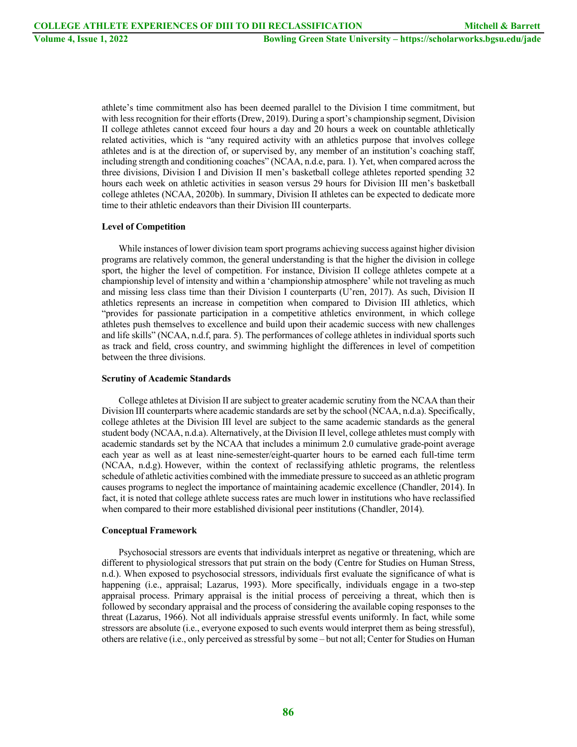athlete's time commitment also has been deemed parallel to the Division I time commitment, but with less recognition for their efforts (Drew, 2019). During a sport's championship segment, Division II college athletes cannot exceed four hours a day and 20 hours a week on countable athletically related activities, which is "any required activity with an athletics purpose that involves college athletes and is at the direction of, or supervised by, any member of an institution's coaching staff, including strength and conditioning coaches" (NCAA, n.d.e, para. 1). Yet, when compared across the three divisions, Division I and Division II men's basketball college athletes reported spending 32 hours each week on athletic activities in season versus 29 hours for Division III men's basketball college athletes (NCAA, 2020b). In summary, Division II athletes can be expected to dedicate more time to their athletic endeavors than their Division III counterparts.

#### **Level of Competition**

While instances of lower division team sport programs achieving success against higher division programs are relatively common, the general understanding is that the higher the division in college sport, the higher the level of competition. For instance, Division II college athletes compete at a championship level of intensity and within a 'championship atmosphere' while not traveling as much and missing less class time than their Division I counterparts (U'ren, 2017). As such, Division II athletics represents an increase in competition when compared to Division III athletics, which "provides for passionate participation in a competitive athletics environment, in which college athletes push themselves to excellence and build upon their academic success with new challenges and life skills" (NCAA, n.d.f, para. 5). The performances of college athletes in individual sports such as track and field, cross country, and swimming highlight the differences in level of competition between the three divisions.

#### **Scrutiny of Academic Standards**

College athletes at Division II are subject to greater academic scrutiny from the NCAA than their Division III counterparts where academic standards are set by the school (NCAA, n.d.a). Specifically, college athletes at the Division III level are subject to the same academic standards as the general student body (NCAA, n.d.a). Alternatively, at the Division II level, college athletes must comply with academic standards set by the NCAA that includes a minimum 2.0 cumulative grade-point average each year as well as at least nine-semester/eight-quarter hours to be earned each full-time term (NCAA, n.d.g). However, within the context of reclassifying athletic programs, the relentless schedule of athletic activities combined with the immediate pressure to succeed as an athletic program causes programs to neglect the importance of maintaining academic excellence (Chandler, 2014). In fact, it is noted that college athlete success rates are much lower in institutions who have reclassified when compared to their more established divisional peer institutions (Chandler, 2014).

#### **Conceptual Framework**

Psychosocial stressors are events that individuals interpret as negative or threatening, which are different to physiological stressors that put strain on the body (Centre for Studies on Human Stress, n.d.). When exposed to psychosocial stressors, individuals first evaluate the significance of what is happening (i.e., appraisal; Lazarus, 1993). More specifically, individuals engage in a two-step appraisal process. Primary appraisal is the initial process of perceiving a threat, which then is followed by secondary appraisal and the process of considering the available coping responses to the threat (Lazarus, 1966). Not all individuals appraise stressful events uniformly. In fact, while some stressors are absolute (i.e., everyone exposed to such events would interpret them as being stressful), others are relative (i.e., only perceived as stressful by some – but not all; Center for Studies on Human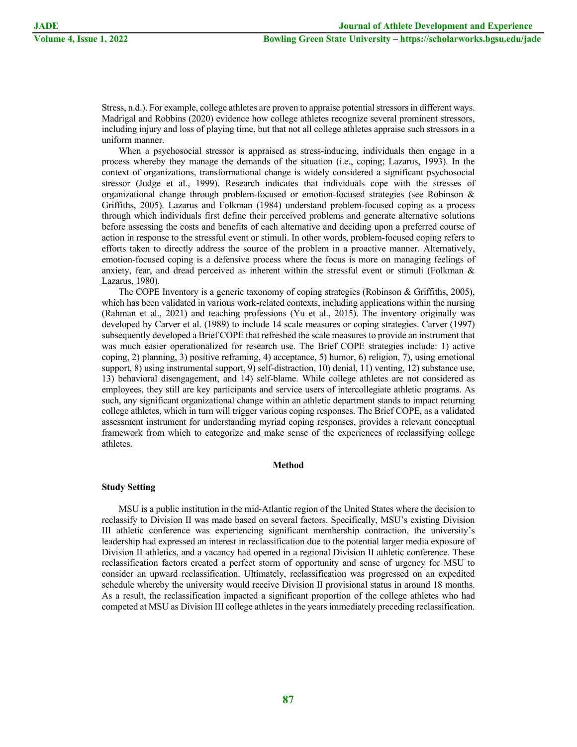Stress, n.d.). For example, college athletes are proven to appraise potential stressors in different ways. Madrigal and Robbins (2020) evidence how college athletes recognize several prominent stressors, including injury and loss of playing time, but that not all college athletes appraise such stressors in a uniform manner.

When a psychosocial stressor is appraised as stress-inducing, individuals then engage in a process whereby they manage the demands of the situation (i.e., coping; Lazarus, 1993). In the context of organizations, transformational change is widely considered a significant psychosocial stressor (Judge et al., 1999). Research indicates that individuals cope with the stresses of organizational change through problem-focused or emotion-focused strategies (see Robinson & Griffiths, 2005). Lazarus and Folkman (1984) understand problem-focused coping as a process through which individuals first define their perceived problems and generate alternative solutions before assessing the costs and benefits of each alternative and deciding upon a preferred course of action in response to the stressful event or stimuli. In other words, problem-focused coping refers to efforts taken to directly address the source of the problem in a proactive manner. Alternatively, emotion-focused coping is a defensive process where the focus is more on managing feelings of anxiety, fear, and dread perceived as inherent within the stressful event or stimuli (Folkman & Lazarus, 1980).

The COPE Inventory is a generic taxonomy of coping strategies (Robinson & Griffiths, 2005), which has been validated in various work-related contexts, including applications within the nursing (Rahman et al., 2021) and teaching professions (Yu et al., 2015). The inventory originally was developed by Carver et al. (1989) to include 14 scale measures or coping strategies. Carver (1997) subsequently developed a Brief COPE that refreshed the scale measures to provide an instrument that was much easier operationalized for research use. The Brief COPE strategies include: 1) active coping, 2) planning, 3) positive reframing, 4) acceptance, 5) humor, 6) religion, 7), using emotional support, 8) using instrumental support, 9) self-distraction, 10) denial, 11) venting, 12) substance use, 13) behavioral disengagement, and 14) self-blame. While college athletes are not considered as employees, they still are key participants and service users of intercollegiate athletic programs. As such, any significant organizational change within an athletic department stands to impact returning college athletes, which in turn will trigger various coping responses. The Brief COPE, as a validated assessment instrument for understanding myriad coping responses, provides a relevant conceptual framework from which to categorize and make sense of the experiences of reclassifying college athletes.

#### **Method**

#### **Study Setting**

MSU is a public institution in the mid-Atlantic region of the United States where the decision to reclassify to Division II was made based on several factors. Specifically, MSU's existing Division III athletic conference was experiencing significant membership contraction, the university's leadership had expressed an interest in reclassification due to the potential larger media exposure of Division II athletics, and a vacancy had opened in a regional Division II athletic conference. These reclassification factors created a perfect storm of opportunity and sense of urgency for MSU to consider an upward reclassification. Ultimately, reclassification was progressed on an expedited schedule whereby the university would receive Division II provisional status in around 18 months. As a result, the reclassification impacted a significant proportion of the college athletes who had competed at MSU as Division III college athletes in the years immediately preceding reclassification.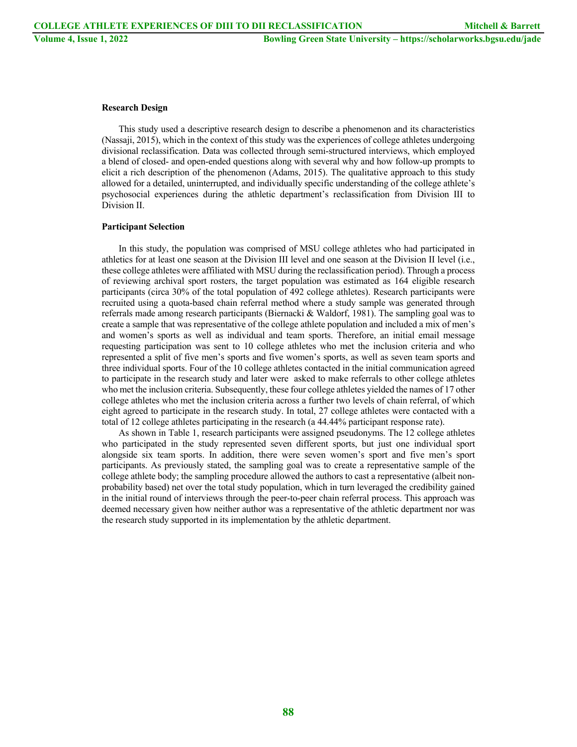#### **Research Design**

This study used a descriptive research design to describe a phenomenon and its characteristics (Nassaji, 2015), which in the context of this study was the experiences of college athletes undergoing divisional reclassification. Data was collected through semi-structured interviews, which employed a blend of closed- and open-ended questions along with several why and how follow-up prompts to elicit a rich description of the phenomenon (Adams, 2015). The qualitative approach to this study allowed for a detailed, uninterrupted, and individually specific understanding of the college athlete's psychosocial experiences during the athletic department's reclassification from Division III to Division II.

#### **Participant Selection**

In this study, the population was comprised of MSU college athletes who had participated in athletics for at least one season at the Division III level and one season at the Division II level (i.e., these college athletes were affiliated with MSU during the reclassification period). Through a process of reviewing archival sport rosters, the target population was estimated as 164 eligible research participants (circa 30% of the total population of 492 college athletes). Research participants were recruited using a quota-based chain referral method where a study sample was generated through referrals made among research participants (Biernacki & Waldorf, 1981). The sampling goal was to create a sample that was representative of the college athlete population and included a mix of men's and women's sports as well as individual and team sports. Therefore, an initial email message requesting participation was sent to 10 college athletes who met the inclusion criteria and who represented a split of five men's sports and five women's sports, as well as seven team sports and three individual sports. Four of the 10 college athletes contacted in the initial communication agreed to participate in the research study and later were asked to make referrals to other college athletes who met the inclusion criteria. Subsequently, these four college athletes yielded the names of 17 other college athletes who met the inclusion criteria across a further two levels of chain referral, of which eight agreed to participate in the research study. In total, 27 college athletes were contacted with a total of 12 college athletes participating in the research (a 44.44% participant response rate).

As shown in Table 1, research participants were assigned pseudonyms. The 12 college athletes who participated in the study represented seven different sports, but just one individual sport alongside six team sports. In addition, there were seven women's sport and five men's sport participants. As previously stated, the sampling goal was to create a representative sample of the college athlete body; the sampling procedure allowed the authors to cast a representative (albeit nonprobability based) net over the total study population, which in turn leveraged the credibility gained in the initial round of interviews through the peer-to-peer chain referral process. This approach was deemed necessary given how neither author was a representative of the athletic department nor was the research study supported in its implementation by the athletic department.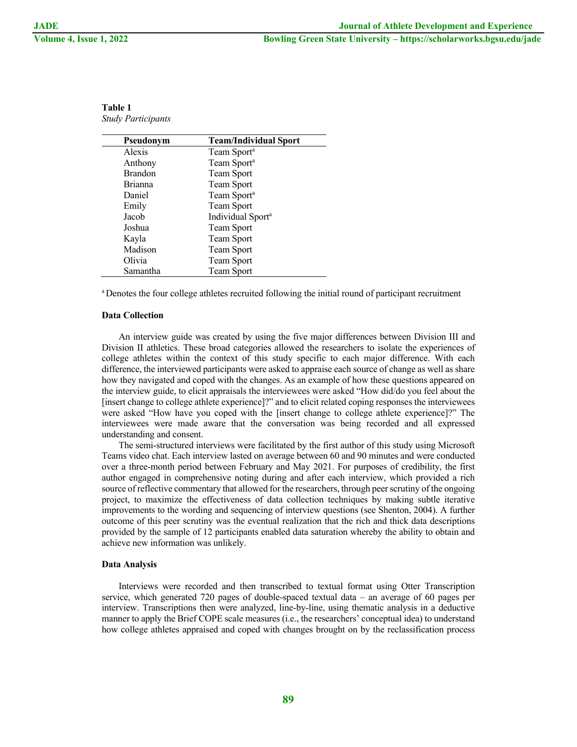| Pseudonym      | <b>Team/Individual Sport</b>  |
|----------------|-------------------------------|
| Alexis         | Team Sport <sup>a</sup>       |
| Anthony        | Team Sport <sup>a</sup>       |
| <b>Brandon</b> | Team Sport                    |
| <b>Brianna</b> | Team Sport                    |
| Daniel         | Team Sport <sup>a</sup>       |
| Emily          | Team Sport                    |
| Jacob          | Individual Sport <sup>a</sup> |
| Joshua         | Team Sport                    |
| Kayla          | Team Sport                    |
| Madison        | Team Sport                    |
| Olivia         | Team Sport                    |
| Samantha       | Team Sport                    |

| Table 1                   |  |
|---------------------------|--|
| <b>Study Participants</b> |  |

a Denotes the four college athletes recruited following the initial round of participant recruitment

#### **Data Collection**

An interview guide was created by using the five major differences between Division III and Division II athletics. These broad categories allowed the researchers to isolate the experiences of college athletes within the context of this study specific to each major difference. With each difference, the interviewed participants were asked to appraise each source of change as well as share how they navigated and coped with the changes. As an example of how these questions appeared on the interview guide, to elicit appraisals the interviewees were asked "How did/do you feel about the [insert change to college athlete experience]?" and to elicit related coping responses the interviewees were asked "How have you coped with the [insert change to college athlete experience]?" The interviewees were made aware that the conversation was being recorded and all expressed understanding and consent.

The semi-structured interviews were facilitated by the first author of this study using Microsoft Teams video chat. Each interview lasted on average between 60 and 90 minutes and were conducted over a three-month period between February and May 2021. For purposes of credibility, the first author engaged in comprehensive noting during and after each interview, which provided a rich source of reflective commentary that allowed for the researchers, through peer scrutiny of the ongoing project, to maximize the effectiveness of data collection techniques by making subtle iterative improvements to the wording and sequencing of interview questions (see Shenton, 2004). A further outcome of this peer scrutiny was the eventual realization that the rich and thick data descriptions provided by the sample of 12 participants enabled data saturation whereby the ability to obtain and achieve new information was unlikely.

#### **Data Analysis**

Interviews were recorded and then transcribed to textual format using Otter Transcription service, which generated 720 pages of double-spaced textual data – an average of 60 pages per interview. Transcriptions then were analyzed, line-by-line, using thematic analysis in a deductive manner to apply the Brief COPE scale measures (i.e., the researchers' conceptual idea) to understand how college athletes appraised and coped with changes brought on by the reclassification process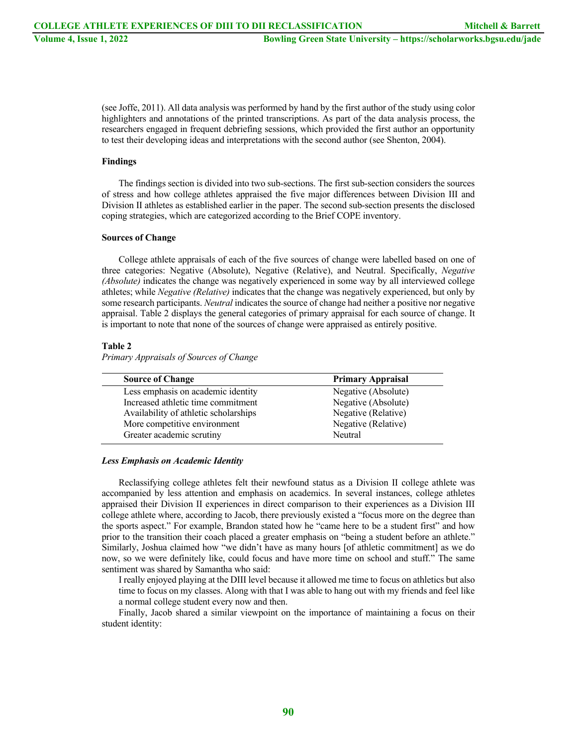(see Joffe, 2011). All data analysis was performed by hand by the first author of the study using color highlighters and annotations of the printed transcriptions. As part of the data analysis process, the researchers engaged in frequent debriefing sessions, which provided the first author an opportunity to test their developing ideas and interpretations with the second author (see Shenton, 2004).

#### **Findings**

The findings section is divided into two sub-sections. The first sub-section considers the sources of stress and how college athletes appraised the five major differences between Division III and Division II athletes as established earlier in the paper. The second sub-section presents the disclosed coping strategies, which are categorized according to the Brief COPE inventory.

#### **Sources of Change**

College athlete appraisals of each of the five sources of change were labelled based on one of three categories: Negative (Absolute), Negative (Relative), and Neutral. Specifically, *Negative (Absolute)* indicates the change was negatively experienced in some way by all interviewed college athletes; while *Negative (Relative)* indicates that the change was negatively experienced, but only by some research participants. *Neutral* indicates the source of change had neither a positive nor negative appraisal. Table 2 displays the general categories of primary appraisal for each source of change. It is important to note that none of the sources of change were appraised as entirely positive.

#### **Table 2**

*Primary Appraisals of Sources of Change*

| <b>Source of Change</b>               | <b>Primary Appraisal</b> |
|---------------------------------------|--------------------------|
| Less emphasis on academic identity    | Negative (Absolute)      |
| Increased athletic time commitment    | Negative (Absolute)      |
| Availability of athletic scholarships | Negative (Relative)      |
| More competitive environment          | Negative (Relative)      |
| Greater academic scrutiny             | Neutral                  |

#### *Less Emphasis on Academic Identity*

Reclassifying college athletes felt their newfound status as a Division II college athlete was accompanied by less attention and emphasis on academics. In several instances, college athletes appraised their Division II experiences in direct comparison to their experiences as a Division III college athlete where, according to Jacob, there previously existed a "focus more on the degree than the sports aspect." For example, Brandon stated how he "came here to be a student first" and how prior to the transition their coach placed a greater emphasis on "being a student before an athlete." Similarly, Joshua claimed how "we didn't have as many hours [of athletic commitment] as we do now, so we were definitely like, could focus and have more time on school and stuff." The same sentiment was shared by Samantha who said:

I really enjoyed playing at the DIII level because it allowed me time to focus on athletics but also time to focus on my classes. Along with that I was able to hang out with my friends and feel like a normal college student every now and then.

Finally, Jacob shared a similar viewpoint on the importance of maintaining a focus on their student identity: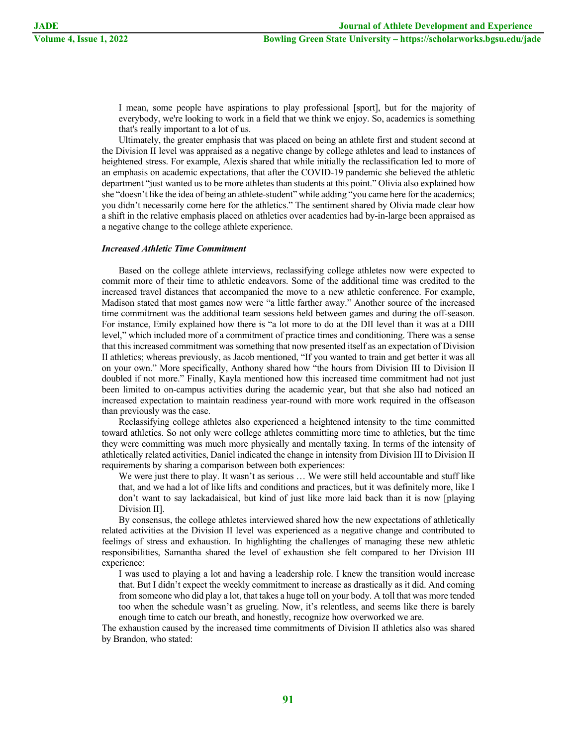I mean, some people have aspirations to play professional [sport], but for the majority of everybody, we're looking to work in a field that we think we enjoy. So, academics is something that's really important to a lot of us.

Ultimately, the greater emphasis that was placed on being an athlete first and student second at the Division II level was appraised as a negative change by college athletes and lead to instances of heightened stress. For example, Alexis shared that while initially the reclassification led to more of an emphasis on academic expectations, that after the COVID-19 pandemic she believed the athletic department "just wanted us to be more athletes than students at this point." Olivia also explained how she "doesn't like the idea of being an athlete-student" while adding "you came here for the academics; you didn't necessarily come here for the athletics." The sentiment shared by Olivia made clear how a shift in the relative emphasis placed on athletics over academics had by-in-large been appraised as a negative change to the college athlete experience.

#### *Increased Athletic Time Commitment*

Based on the college athlete interviews, reclassifying college athletes now were expected to commit more of their time to athletic endeavors. Some of the additional time was credited to the increased travel distances that accompanied the move to a new athletic conference. For example, Madison stated that most games now were "a little farther away." Another source of the increased time commitment was the additional team sessions held between games and during the off-season. For instance, Emily explained how there is "a lot more to do at the DII level than it was at a DIII level," which included more of a commitment of practice times and conditioning. There was a sense that this increased commitment was something that now presented itself as an expectation of Division II athletics; whereas previously, as Jacob mentioned, "If you wanted to train and get better it was all on your own." More specifically, Anthony shared how "the hours from Division III to Division II doubled if not more." Finally, Kayla mentioned how this increased time commitment had not just been limited to on-campus activities during the academic year, but that she also had noticed an increased expectation to maintain readiness year-round with more work required in the offseason than previously was the case.

Reclassifying college athletes also experienced a heightened intensity to the time committed toward athletics. So not only were college athletes committing more time to athletics, but the time they were committing was much more physically and mentally taxing. In terms of the intensity of athletically related activities, Daniel indicated the change in intensity from Division III to Division II requirements by sharing a comparison between both experiences:

We were just there to play. It wasn't as serious … We were still held accountable and stuff like that, and we had a lot of like lifts and conditions and practices, but it was definitely more, like I don't want to say lackadaisical, but kind of just like more laid back than it is now [playing Division II].

By consensus, the college athletes interviewed shared how the new expectations of athletically related activities at the Division II level was experienced as a negative change and contributed to feelings of stress and exhaustion. In highlighting the challenges of managing these new athletic responsibilities, Samantha shared the level of exhaustion she felt compared to her Division III experience:

I was used to playing a lot and having a leadership role. I knew the transition would increase that. But I didn't expect the weekly commitment to increase as drastically as it did. And coming from someone who did play a lot, that takes a huge toll on your body. A toll that was more tended too when the schedule wasn't as grueling. Now, it's relentless, and seems like there is barely enough time to catch our breath, and honestly, recognize how overworked we are.

The exhaustion caused by the increased time commitments of Division II athletics also was shared by Brandon, who stated: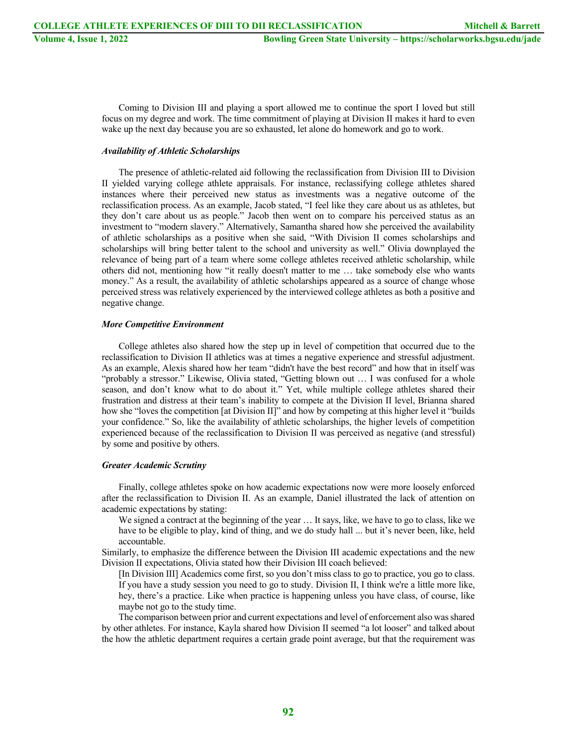Coming to Division III and playing a sport allowed me to continue the sport I loved but still focus on my degree and work. The time commitment of playing at Division II makes it hard to even wake up the next day because you are so exhausted, let alone do homework and go to work.

#### *Availability of Athletic Scholarships*

The presence of athletic-related aid following the reclassification from Division III to Division II yielded varying college athlete appraisals. For instance, reclassifying college athletes shared instances where their perceived new status as investments was a negative outcome of the reclassification process. As an example, Jacob stated, "I feel like they care about us as athletes, but they don't care about us as people." Jacob then went on to compare his perceived status as an investment to "modern slavery." Alternatively, Samantha shared how she perceived the availability of athletic scholarships as a positive when she said, "With Division II comes scholarships and scholarships will bring better talent to the school and university as well." Olivia downplayed the relevance of being part of a team where some college athletes received athletic scholarship, while others did not, mentioning how "it really doesn't matter to me … take somebody else who wants money." As a result, the availability of athletic scholarships appeared as a source of change whose perceived stress was relatively experienced by the interviewed college athletes as both a positive and negative change.

#### *More Competitive Environment*

College athletes also shared how the step up in level of competition that occurred due to the reclassification to Division II athletics was at times a negative experience and stressful adjustment. As an example, Alexis shared how her team "didn't have the best record" and how that in itself was "probably a stressor." Likewise, Olivia stated, "Getting blown out … I was confused for a whole season, and don't know what to do about it." Yet, while multiple college athletes shared their frustration and distress at their team's inability to compete at the Division II level, Brianna shared how she "loves the competition [at Division II]" and how by competing at this higher level it "builds your confidence." So, like the availability of athletic scholarships, the higher levels of competition experienced because of the reclassification to Division II was perceived as negative (and stressful) by some and positive by others.

#### *Greater Academic Scrutiny*

Finally, college athletes spoke on how academic expectations now were more loosely enforced after the reclassification to Division II. As an example, Daniel illustrated the lack of attention on academic expectations by stating:

We signed a contract at the beginning of the year … It says, like, we have to go to class, like we have to be eligible to play, kind of thing, and we do study hall ... but it's never been, like, held accountable.

Similarly, to emphasize the difference between the Division III academic expectations and the new Division II expectations, Olivia stated how their Division III coach believed:

[In Division III] Academics come first, so you don't miss class to go to practice, you go to class. If you have a study session you need to go to study. Division II, I think we're a little more like, hey, there's a practice. Like when practice is happening unless you have class, of course, like maybe not go to the study time.

The comparison between prior and current expectations and level of enforcement also was shared by other athletes. For instance, Kayla shared how Division II seemed "a lot looser" and talked about the how the athletic department requires a certain grade point average, but that the requirement was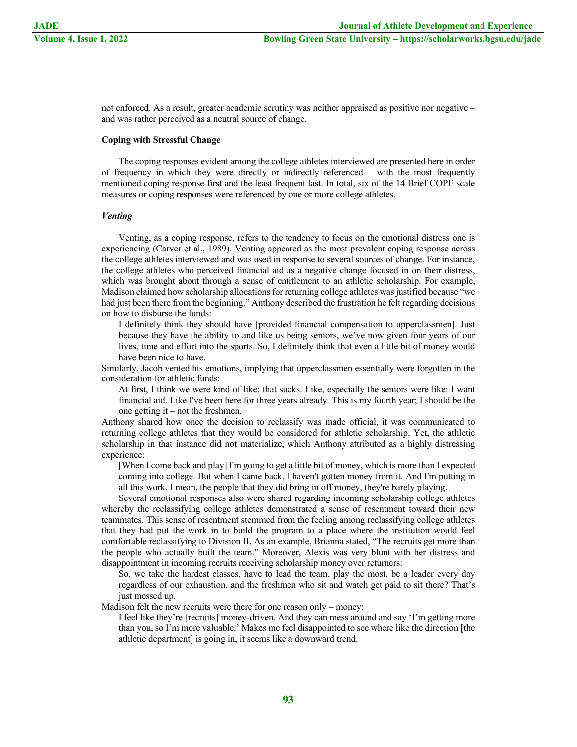not enforced. As a result, greater academic scrutiny was neither appraised as positive nor negative – and was rather perceived as a neutral source of change.

#### **Coping with Stressful Change**

The coping responses evident among the college athletes interviewed are presented here in order of frequency in which they were directly or indirectly referenced – with the most frequently mentioned coping response first and the least frequent last. In total, six of the 14 Brief COPE scale measures or coping responses were referenced by one or more college athletes.

#### *Venting*

Venting, as a coping response, refers to the tendency to focus on the emotional distress one is experiencing (Carver et al., 1989). Venting appeared as the most prevalent coping response across the college athletes interviewed and was used in response to several sources of change. For instance, the college athletes who perceived financial aid as a negative change focused in on their distress, which was brought about through a sense of entitlement to an athletic scholarship. For example, Madison claimed how scholarship allocations for returning college athletes was justified because "we had just been there from the beginning." Anthony described the frustration he felt regarding decisions on how to disburse the funds:

I definitely think they should have [provided financial compensation to upperclassmen]. Just because they have the ability to and like us being seniors, we've now given four years of our lives, time and effort into the sports. So, I definitely think that even a little bit of money would have been nice to have.

Similarly, Jacob vented his emotions, implying that upperclassmen essentially were forgotten in the consideration for athletic funds:

At first, I think we were kind of like: that sucks. Like, especially the seniors were like: I want financial aid. Like I've been here for three years already. This is my fourth year; I should be the one getting it – not the freshmen.

Anthony shared how once the decision to reclassify was made official, it was communicated to returning college athletes that they would be considered for athletic scholarship. Yet, the athletic scholarship in that instance did not materialize, which Anthony attributed as a highly distressing experience:

[When I come back and play] I'm going to get a little bit of money, which is more than I expected coming into college. But when I came back, I haven't gotten money from it. And I'm putting in all this work. I mean, the people that they did bring in off money, they're barely playing.

Several emotional responses also were shared regarding incoming scholarship college athletes whereby the reclassifying college athletes demonstrated a sense of resentment toward their new teammates. This sense of resentment stemmed from the feeling among reclassifying college athletes that they had put the work in to build the program to a place where the institution would feel comfortable reclassifying to Division II. As an example, Brianna stated, "The recruits get more than the people who actually built the team." Moreover, Alexis was very blunt with her distress and disappointment in incoming recruits receiving scholarship money over returners:

So, we take the hardest classes, have to lead the team, play the most, be a leader every day regardless of our exhaustion, and the freshmen who sit and watch get paid to sit there? That's just messed up.

Madison felt the new recruits were there for one reason only – money:

I feel like they're [recruits] money-driven. And they can mess around and say 'I'm getting more than you, so I'm more valuable.' Makes me feel disappointed to see where like the direction [the athletic department] is going in, it seems like a downward trend.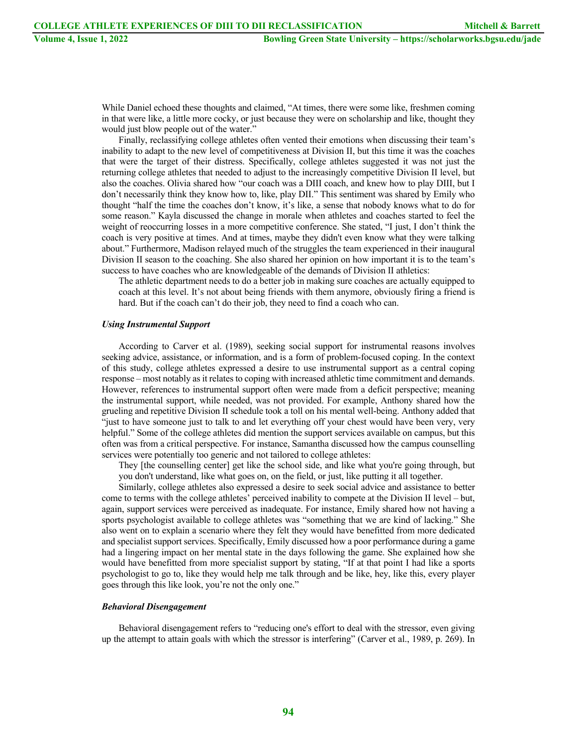While Daniel echoed these thoughts and claimed, "At times, there were some like, freshmen coming in that were like, a little more cocky, or just because they were on scholarship and like, thought they would just blow people out of the water."

Finally, reclassifying college athletes often vented their emotions when discussing their team's inability to adapt to the new level of competitiveness at Division II, but this time it was the coaches that were the target of their distress. Specifically, college athletes suggested it was not just the returning college athletes that needed to adjust to the increasingly competitive Division II level, but also the coaches. Olivia shared how "our coach was a DIII coach, and knew how to play DIII, but I don't necessarily think they know how to, like, play DII." This sentiment was shared by Emily who thought "half the time the coaches don't know, it's like, a sense that nobody knows what to do for some reason." Kayla discussed the change in morale when athletes and coaches started to feel the weight of reoccurring losses in a more competitive conference. She stated, "I just, I don't think the coach is very positive at times. And at times, maybe they didn't even know what they were talking about." Furthermore, Madison relayed much of the struggles the team experienced in their inaugural Division II season to the coaching. She also shared her opinion on how important it is to the team's success to have coaches who are knowledgeable of the demands of Division II athletics:

The athletic department needs to do a better job in making sure coaches are actually equipped to coach at this level. It's not about being friends with them anymore, obviously firing a friend is hard. But if the coach can't do their job, they need to find a coach who can.

#### *Using Instrumental Support*

According to Carver et al. (1989), seeking social support for instrumental reasons involves seeking advice, assistance, or information, and is a form of problem-focused coping. In the context of this study, college athletes expressed a desire to use instrumental support as a central coping response – most notably as it relates to coping with increased athletic time commitment and demands. However, references to instrumental support often were made from a deficit perspective; meaning the instrumental support, while needed, was not provided. For example, Anthony shared how the grueling and repetitive Division II schedule took a toll on his mental well-being. Anthony added that "just to have someone just to talk to and let everything off your chest would have been very, very helpful." Some of the college athletes did mention the support services available on campus, but this often was from a critical perspective. For instance, Samantha discussed how the campus counselling services were potentially too generic and not tailored to college athletes:

They [the counselling center] get like the school side, and like what you're going through, but you don't understand, like what goes on, on the field, or just, like putting it all together.

Similarly, college athletes also expressed a desire to seek social advice and assistance to better come to terms with the college athletes' perceived inability to compete at the Division II level – but, again, support services were perceived as inadequate. For instance, Emily shared how not having a sports psychologist available to college athletes was "something that we are kind of lacking." She also went on to explain a scenario where they felt they would have benefitted from more dedicated and specialist support services. Specifically, Emily discussed how a poor performance during a game had a lingering impact on her mental state in the days following the game. She explained how she would have benefitted from more specialist support by stating, "If at that point I had like a sports psychologist to go to, like they would help me talk through and be like, hey, like this, every player goes through this like look, you're not the only one."

#### *Behavioral Disengagement*

Behavioral disengagement refers to "reducing one's effort to deal with the stressor, even giving up the attempt to attain goals with which the stressor is interfering" (Carver et al., 1989, p. 269). In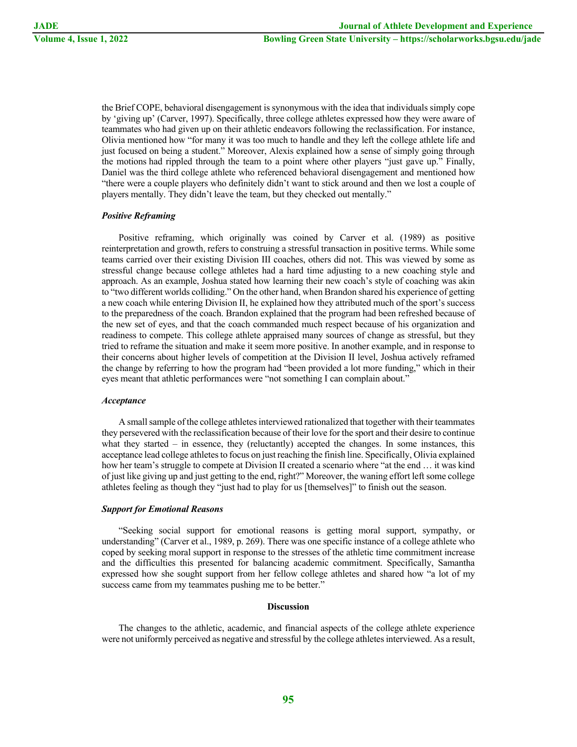the Brief COPE, behavioral disengagement is synonymous with the idea that individuals simply cope by 'giving up' (Carver, 1997). Specifically, three college athletes expressed how they were aware of teammates who had given up on their athletic endeavors following the reclassification. For instance, Olivia mentioned how "for many it was too much to handle and they left the college athlete life and just focused on being a student." Moreover, Alexis explained how a sense of simply going through the motions had rippled through the team to a point where other players "just gave up." Finally, Daniel was the third college athlete who referenced behavioral disengagement and mentioned how "there were a couple players who definitely didn't want to stick around and then we lost a couple of players mentally. They didn't leave the team, but they checked out mentally."

#### *Positive Reframing*

Positive reframing, which originally was coined by Carver et al. (1989) as positive reinterpretation and growth, refers to construing a stressful transaction in positive terms. While some teams carried over their existing Division III coaches, others did not. This was viewed by some as stressful change because college athletes had a hard time adjusting to a new coaching style and approach. As an example, Joshua stated how learning their new coach's style of coaching was akin to "two different worlds colliding." On the other hand, when Brandon shared his experience of getting a new coach while entering Division II, he explained how they attributed much of the sport's success to the preparedness of the coach. Brandon explained that the program had been refreshed because of the new set of eyes, and that the coach commanded much respect because of his organization and readiness to compete. This college athlete appraised many sources of change as stressful, but they tried to reframe the situation and make it seem more positive. In another example, and in response to their concerns about higher levels of competition at the Division II level, Joshua actively reframed the change by referring to how the program had "been provided a lot more funding," which in their eyes meant that athletic performances were "not something I can complain about."

#### *Acceptance*

A small sample of the college athletes interviewed rationalized that together with their teammates they persevered with the reclassification because of their love for the sport and their desire to continue what they started – in essence, they (reluctantly) accepted the changes. In some instances, this acceptance lead college athletes to focus on just reaching the finish line. Specifically, Olivia explained how her team's struggle to compete at Division II created a scenario where "at the end … it was kind of just like giving up and just getting to the end, right?" Moreover, the waning effort left some college athletes feeling as though they "just had to play for us [themselves]" to finish out the season.

#### *Support for Emotional Reasons*

"Seeking social support for emotional reasons is getting moral support, sympathy, or understanding" (Carver et al., 1989, p. 269). There was one specific instance of a college athlete who coped by seeking moral support in response to the stresses of the athletic time commitment increase and the difficulties this presented for balancing academic commitment. Specifically, Samantha expressed how she sought support from her fellow college athletes and shared how "a lot of my success came from my teammates pushing me to be better."

#### **Discussion**

The changes to the athletic, academic, and financial aspects of the college athlete experience were not uniformly perceived as negative and stressful by the college athletes interviewed. As a result,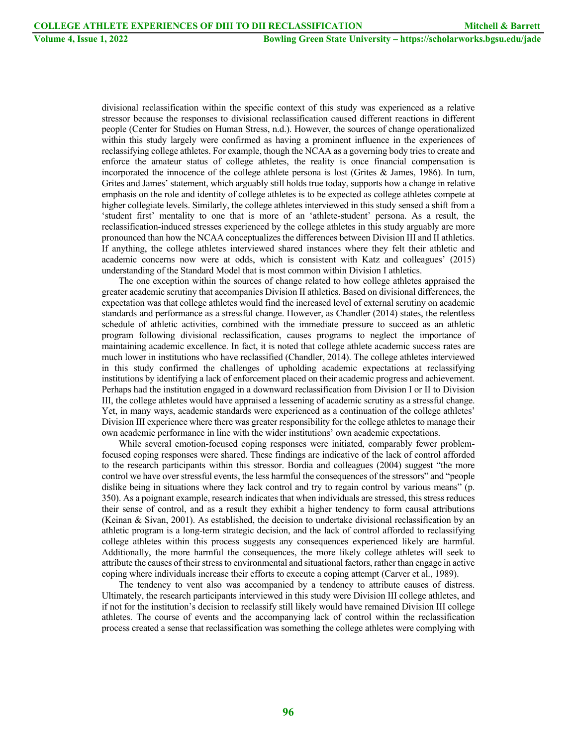divisional reclassification within the specific context of this study was experienced as a relative stressor because the responses to divisional reclassification caused different reactions in different people (Center for Studies on Human Stress, n.d.). However, the sources of change operationalized within this study largely were confirmed as having a prominent influence in the experiences of reclassifying college athletes. For example, though the NCAA as a governing body tries to create and enforce the amateur status of college athletes, the reality is once financial compensation is incorporated the innocence of the college athlete persona is lost (Grites & James, 1986). In turn, Grites and James' statement, which arguably still holds true today, supports how a change in relative emphasis on the role and identity of college athletes is to be expected as college athletes compete at higher collegiate levels. Similarly, the college athletes interviewed in this study sensed a shift from a 'student first' mentality to one that is more of an 'athlete-student' persona. As a result, the reclassification-induced stresses experienced by the college athletes in this study arguably are more pronounced than how the NCAA conceptualizes the differences between Division III and II athletics. If anything, the college athletes interviewed shared instances where they felt their athletic and academic concerns now were at odds, which is consistent with Katz and colleagues' (2015) understanding of the Standard Model that is most common within Division I athletics.

The one exception within the sources of change related to how college athletes appraised the greater academic scrutiny that accompanies Division II athletics. Based on divisional differences, the expectation was that college athletes would find the increased level of external scrutiny on academic standards and performance as a stressful change. However, as Chandler (2014) states, the relentless schedule of athletic activities, combined with the immediate pressure to succeed as an athletic program following divisional reclassification, causes programs to neglect the importance of maintaining academic excellence. In fact, it is noted that college athlete academic success rates are much lower in institutions who have reclassified (Chandler, 2014). The college athletes interviewed in this study confirmed the challenges of upholding academic expectations at reclassifying institutions by identifying a lack of enforcement placed on their academic progress and achievement. Perhaps had the institution engaged in a downward reclassification from Division I or II to Division III, the college athletes would have appraised a lessening of academic scrutiny as a stressful change. Yet, in many ways, academic standards were experienced as a continuation of the college athletes' Division III experience where there was greater responsibility for the college athletes to manage their own academic performance in line with the wider institutions' own academic expectations.

While several emotion-focused coping responses were initiated, comparably fewer problemfocused coping responses were shared. These findings are indicative of the lack of control afforded to the research participants within this stressor. Bordia and colleagues (2004) suggest "the more control we have over stressful events, the less harmful the consequences of the stressors" and "people dislike being in situations where they lack control and try to regain control by various means" (p. 350). As a poignant example, research indicates that when individuals are stressed, this stress reduces their sense of control, and as a result they exhibit a higher tendency to form causal attributions (Keinan & Sivan, 2001). As established, the decision to undertake divisional reclassification by an athletic program is a long-term strategic decision, and the lack of control afforded to reclassifying college athletes within this process suggests any consequences experienced likely are harmful. Additionally, the more harmful the consequences, the more likely college athletes will seek to attribute the causes of their stress to environmental and situational factors, rather than engage in active coping where individuals increase their efforts to execute a coping attempt (Carver et al., 1989).

The tendency to vent also was accompanied by a tendency to attribute causes of distress. Ultimately, the research participants interviewed in this study were Division III college athletes, and if not for the institution's decision to reclassify still likely would have remained Division III college athletes. The course of events and the accompanying lack of control within the reclassification process created a sense that reclassification was something the college athletes were complying with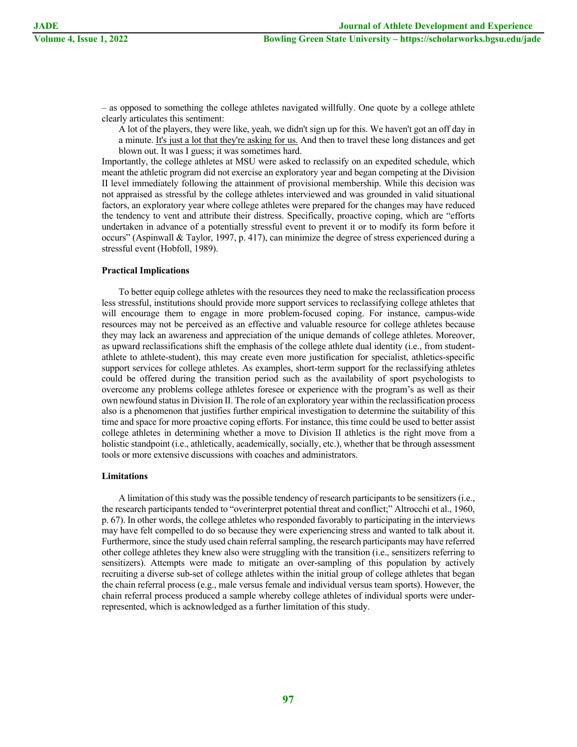– as opposed to something the college athletes navigated willfully. One quote by a college athlete clearly articulates this sentiment:

A lot of the players, they were like, yeah, we didn't sign up for this. We haven't got an off day in a minute. It's just a lot that they're asking for us. And then to travel these long distances and get blown out. It was I guess; it was sometimes hard.

Importantly, the college athletes at MSU were asked to reclassify on an expedited schedule, which meant the athletic program did not exercise an exploratory year and began competing at the Division II level immediately following the attainment of provisional membership. While this decision was not appraised as stressful by the college athletes interviewed and was grounded in valid situational factors, an exploratory year where college athletes were prepared for the changes may have reduced the tendency to vent and attribute their distress. Specifically, proactive coping, which are "efforts undertaken in advance of a potentially stressful event to prevent it or to modify its form before it occurs" (Aspinwall & Taylor, 1997, p. 417), can minimize the degree of stress experienced during a stressful event (Hobfoll, 1989).

#### **Practical Implications**

To better equip college athletes with the resources they need to make the reclassification process less stressful, institutions should provide more support services to reclassifying college athletes that will encourage them to engage in more problem-focused coping. For instance, campus-wide resources may not be perceived as an effective and valuable resource for college athletes because they may lack an awareness and appreciation of the unique demands of college athletes. Moreover, as upward reclassifications shift the emphasis of the college athlete dual identity (i.e., from studentathlete to athlete-student), this may create even more justification for specialist, athletics-specific support services for college athletes. As examples, short-term support for the reclassifying athletes could be offered during the transition period such as the availability of sport psychologists to overcome any problems college athletes foresee or experience with the program's as well as their own newfound status in Division II. The role of an exploratory year within the reclassification process also is a phenomenon that justifies further empirical investigation to determine the suitability of this time and space for more proactive coping efforts. For instance, this time could be used to better assist college athletes in determining whether a move to Division II athletics is the right move from a holistic standpoint (i.e., athletically, academically, socially, etc.), whether that be through assessment tools or more extensive discussions with coaches and administrators.

#### **Limitations**

A limitation of this study was the possible tendency of research participants to be sensitizers (i.e., the research participants tended to "overinterpret potential threat and conflict;" Altrocchi et al., 1960, p. 67). In other words, the college athletes who responded favorably to participating in the interviews may have felt compelled to do so because they were experiencing stress and wanted to talk about it. Furthermore, since the study used chain referral sampling, the research participants may have referred other college athletes they knew also were struggling with the transition (i.e., sensitizers referring to sensitizers). Attempts were made to mitigate an over-sampling of this population by actively recruiting a diverse sub-set of college athletes within the initial group of college athletes that began the chain referral process (e.g., male versus female and individual versus team sports). However, the chain referral process produced a sample whereby college athletes of individual sports were underrepresented, which is acknowledged as a further limitation of this study.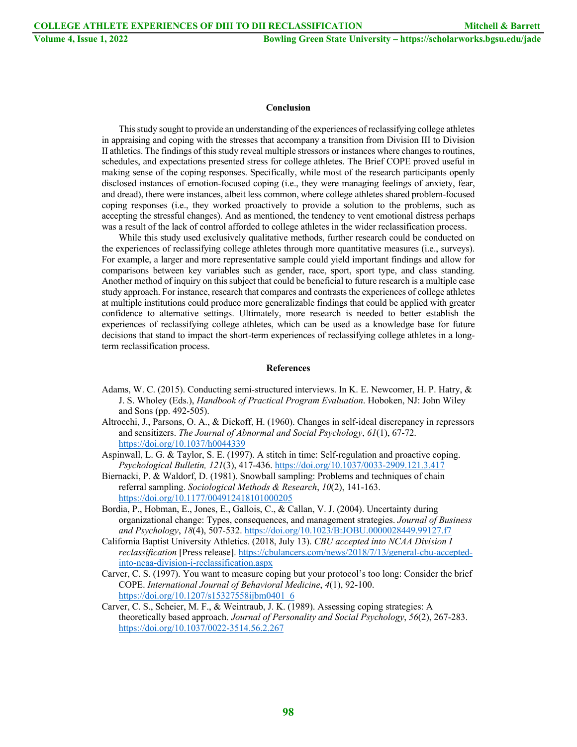#### **Conclusion**

This study sought to provide an understanding of the experiences of reclassifying college athletes in appraising and coping with the stresses that accompany a transition from Division III to Division II athletics. The findings of this study reveal multiple stressors or instances where changes to routines, schedules, and expectations presented stress for college athletes. The Brief COPE proved useful in making sense of the coping responses. Specifically, while most of the research participants openly disclosed instances of emotion-focused coping (i.e., they were managing feelings of anxiety, fear, and dread), there were instances, albeit less common, where college athletes shared problem-focused coping responses (i.e., they worked proactively to provide a solution to the problems, such as accepting the stressful changes). And as mentioned, the tendency to vent emotional distress perhaps was a result of the lack of control afforded to college athletes in the wider reclassification process.

While this study used exclusively qualitative methods, further research could be conducted on the experiences of reclassifying college athletes through more quantitative measures (i.e., surveys). For example, a larger and more representative sample could yield important findings and allow for comparisons between key variables such as gender, race, sport, sport type, and class standing. Another method of inquiry on this subject that could be beneficial to future research is a multiple case study approach. For instance, research that compares and contrasts the experiences of college athletes at multiple institutions could produce more generalizable findings that could be applied with greater confidence to alternative settings. Ultimately, more research is needed to better establish the experiences of reclassifying college athletes, which can be used as a knowledge base for future decisions that stand to impact the short-term experiences of reclassifying college athletes in a longterm reclassification process.

#### **References**

- Adams, W. C. (2015). Conducting semi-structured interviews. In K. E. Newcomer, H. P. Hatry, & J. S. Wholey (Eds.), *Handbook of Practical Program Evaluation*. Hoboken, NJ: John Wiley and Sons (pp. 492-505).
- Altrocchi, J., Parsons, O. A., & Dickoff, H. (1960). Changes in self-ideal discrepancy in repressors and sensitizers. *The Journal of Abnormal and Social Psychology*, *61*(1), 67-72. https://doi.org/10.1037/h0044339
- Aspinwall, L. G. & Taylor, S. E. (1997). A stitch in time: Self-regulation and proactive coping. *Psychological Bulletin, 121*(3), 417-436. https://doi.org/10.1037/0033-2909.121.3.417
- Biernacki, P. & Waldorf, D. (1981). Snowball sampling: Problems and techniques of chain referral sampling. *Sociological Methods & Research*, *10*(2), 141-163. https://doi.org/10.1177/004912418101000205
- Bordia, P., Hobman, E., Jones, E., Gallois, C., & Callan, V. J. (2004). Uncertainty during organizational change: Types, consequences, and management strategies. *Journal of Business and Psychology*, *18*(4), 507-532. https://doi.org/10.1023/B:JOBU.0000028449.99127.f7
- California Baptist University Athletics. (2018, July 13). *CBU accepted into NCAA Division I reclassification* [Press release]. https://cbulancers.com/news/2018/7/13/general-cbu-acceptedinto-ncaa-division-i-reclassification.aspx
- Carver, C. S. (1997). You want to measure coping but your protocol's too long: Consider the brief COPE. *International Journal of Behavioral Medicine*, *4*(1), 92-100. https://doi.org/10.1207/s15327558ijbm0401\_6
- Carver, C. S., Scheier, M. F., & Weintraub, J. K. (1989). Assessing coping strategies: A theoretically based approach. *Journal of Personality and Social Psychology*, *56*(2), 267-283. https://doi.org/10.1037/0022-3514.56.2.267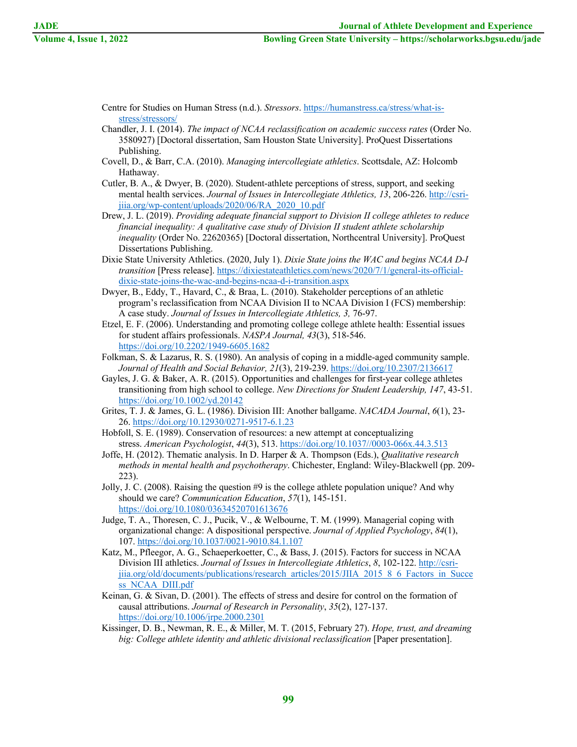- Centre for Studies on Human Stress (n.d.). *Stressors*. https://humanstress.ca/stress/what-isstress/stressors/
- Chandler, J. I. (2014). *The impact of NCAA reclassification on academic success rates* (Order No. 3580927) [Doctoral dissertation, Sam Houston State University]. ProQuest Dissertations Publishing.
- Covell, D., & Barr, C.A. (2010). *Managing intercollegiate athletics*. Scottsdale, AZ: Holcomb Hathaway.
- Cutler, B. A., & Dwyer, B. (2020). Student-athlete perceptions of stress, support, and seeking mental health services. *Journal of Issues in Intercollegiate Athletics, 13*, 206-226. http://csrijiia.org/wp-content/uploads/2020/06/RA\_2020\_10.pdf
- Drew, J. L. (2019). *Providing adequate financial support to Division II college athletes to reduce financial inequality: A qualitative case study of Division II student athlete scholarship inequality* (Order No. 22620365) [Doctoral dissertation, Northcentral University]. ProQuest Dissertations Publishing.
- Dixie State University Athletics. (2020, July 1). *Dixie State joins the WAC and begins NCAA D-I transition* [Press release]. https://dixiestateathletics.com/news/2020/7/1/general-its-officialdixie-state-joins-the-wac-and-begins-ncaa-d-i-transition.aspx
- Dwyer, B., Eddy, T., Havard, C., & Braa, L. (2010). Stakeholder perceptions of an athletic program's reclassification from NCAA Division II to NCAA Division I (FCS) membership: A case study. *Journal of Issues in Intercollegiate Athletics, 3,* 76-97.
- Etzel, E. F. (2006). Understanding and promoting college college athlete health: Essential issues for student affairs professionals. *NASPA Journal, 43*(3), 518-546. https://doi.org/10.2202/1949-6605.1682
- Folkman, S. & Lazarus, R. S. (1980). An analysis of coping in a middle-aged community sample. *Journal of Health and Social Behavior, 21*(3), 219-239. https://doi.org/10.2307/2136617
- Gayles, J. G. & Baker, A. R. (2015). Opportunities and challenges for first-year college athletes transitioning from high school to college. *New Directions for Student Leadership, 147*, 43-51. https://doi.org/10.1002/yd.20142
- Grites, T. J. & James, G. L. (1986). Division III: Another ballgame. *NACADA Journal*, *6*(1), 23- 26. https://doi.org/10.12930/0271-9517-6.1.23
- Hobfoll, S. E. (1989). Conservation of resources: a new attempt at conceptualizing stress. *American Psychologist*, *44*(3), 513. https://doi.org/10.1037//0003-066x.44.3.513
- Joffe, H. (2012). Thematic analysis. In D. Harper & A. Thompson (Eds.), *Qualitative research methods in mental health and psychotherapy*. Chichester, England: Wiley-Blackwell (pp. 209- 223).
- Jolly, J. C. (2008). Raising the question #9 is the college athlete population unique? And why should we care? *Communication Education*, *57*(1), 145-151. https://doi.org/10.1080/03634520701613676
- Judge, T. A., Thoresen, C. J., Pucik, V., & Welbourne, T. M. (1999). Managerial coping with organizational change: A dispositional perspective. *Journal of Applied Psychology*, *84*(1), 107. https://doi.org/10.1037/0021-9010.84.1.107
- Katz, M., Pfleegor, A. G., Schaeperkoetter, C., & Bass, J. (2015). Factors for success in NCAA Division III athletics. *Journal of Issues in Intercollegiate Athletics*, *8*, 102-122. http://csrijiia.org/old/documents/publications/research\_articles/2015/JIIA\_2015\_8\_6\_Factors\_in\_Succe ss\_NCAA\_DIII.pdf
- Keinan, G. & Sivan, D. (2001). The effects of stress and desire for control on the formation of causal attributions. *Journal of Research in Personality*, *35*(2), 127-137. https://doi.org/10.1006/jrpe.2000.2301
- Kissinger, D. B., Newman, R. E., & Miller, M. T. (2015, February 27). *Hope, trust, and dreaming big: College athlete identity and athletic divisional reclassification* [Paper presentation].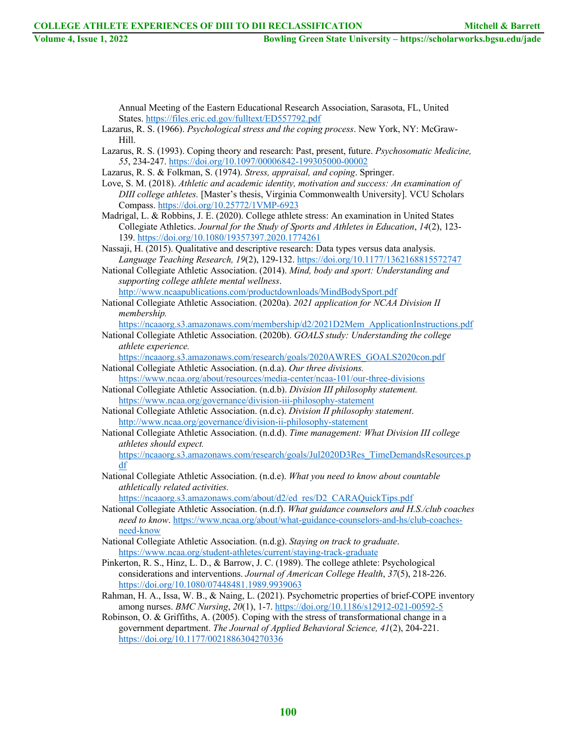df

**Volume 4, Issue 1, 2022 Bowling Green State University – https://scholarworks.bgsu.edu/jade**

Annual Meeting of the Eastern Educational Research Association, Sarasota, FL, United States. https://files.eric.ed.gov/fulltext/ED557792.pdf

Lazarus, R. S. (1966). *Psychological stress and the coping process*. New York, NY: McGraw-Hill.

Lazarus, R. S. (1993). Coping theory and research: Past, present, future. *Psychosomatic Medicine, 55*, 234-247. https://doi.org/10.1097/00006842-199305000-00002

Lazarus, R. S. & Folkman, S. (1974). *Stress, appraisal, and coping*. Springer.

- Love, S. M. (2018). *Athletic and academic identity, motivation and success: An examination of DIII college athletes.* [Master's thesis, Virginia Commonwealth University]. VCU Scholars Compass. https://doi.org/10.25772/1VMP-6923
- Madrigal, L. & Robbins, J. E. (2020). College athlete stress: An examination in United States Collegiate Athletics. *Journal for the Study of Sports and Athletes in Education*, *14*(2), 123- 139. https://doi.org/10.1080/19357397.2020.1774261
- Nassaji, H. (2015). Qualitative and descriptive research: Data types versus data analysis. *Language Teaching Research, 19*(2), 129-132. https://doi.org/10.1177/1362168815572747

National Collegiate Athletic Association. (2014). *Mind, body and sport: Understanding and supporting college athlete mental wellness*. http://www.ncaapublications.com/productdownloads/MindBodySport.pdf

National Collegiate Athletic Association. (2020a). *2021 application for NCAA Division II membership.*

https://ncaaorg.s3.amazonaws.com/membership/d2/2021D2Mem\_ApplicationInstructions.pdf

National Collegiate Athletic Association. (2020b). *GOALS study: Understanding the college athlete experience.* 

https://ncaaorg.s3.amazonaws.com/research/goals/2020AWRES\_GOALS2020con.pdf National Collegiate Athletic Association. (n.d.a). *Our three divisions.*

https://www.ncaa.org/about/resources/media-center/ncaa-101/our-three-divisions

- National Collegiate Athletic Association. (n.d.b). *Division III philosophy statement.* https://www.ncaa.org/governance/division-iii-philosophy-statement
- National Collegiate Athletic Association. (n.d.c). *Division II philosophy statement*. http://www.ncaa.org/governance/division-ii-philosophy-statement
- National Collegiate Athletic Association. (n.d.d). *Time management: What Division III college athletes should expect.* https://ncaaorg.s3.amazonaws.com/research/goals/Jul2020D3Res\_TimeDemandsResources.p

National Collegiate Athletic Association. (n.d.e). *What you need to know about countable athletically related activities.*

https://ncaaorg.s3.amazonaws.com/about/d2/ed\_res/D2\_CARAQuickTips.pdf

- National Collegiate Athletic Association. (n.d.f). *What guidance counselors and H.S./club coaches need to know*. https://www.ncaa.org/about/what-guidance-counselors-and-hs/club-coachesneed-know
- National Collegiate Athletic Association. (n.d.g). *Staying on track to graduate*. https://www.ncaa.org/student-athletes/current/staying-track-graduate
- Pinkerton, R. S., Hinz, L. D., & Barrow, J. C. (1989). The college athlete: Psychological considerations and interventions. *Journal of American College Health*, *37*(5), 218-226. https://doi.org/10.1080/07448481.1989.9939063
- Rahman, H. A., Issa, W. B., & Naing, L. (2021). Psychometric properties of brief-COPE inventory among nurses. *BMC Nursing*, *20*(1), 1-7. https://doi.org/10.1186/s12912-021-00592-5

Robinson, O. & Griffiths, A. (2005). Coping with the stress of transformational change in a government department. *The Journal of Applied Behavioral Science, 41*(2), 204-221. https://doi.org/10.1177/0021886304270336